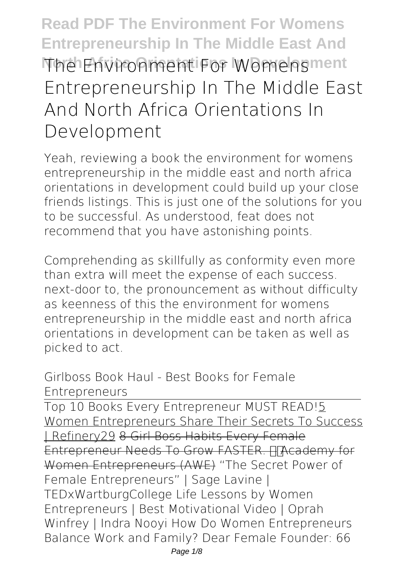## **Read PDF The Environment For Womens Entrepreneurship In The Middle East And North Africa Orientations In Development The Environment For Womens Entrepreneurship In The Middle East And North Africa Orientations In Development**

Yeah, reviewing a book **the environment for womens entrepreneurship in the middle east and north africa orientations in development** could build up your close friends listings. This is just one of the solutions for you to be successful. As understood, feat does not recommend that you have astonishing points.

Comprehending as skillfully as conformity even more than extra will meet the expense of each success. next-door to, the pronouncement as without difficulty as keenness of this the environment for womens entrepreneurship in the middle east and north africa orientations in development can be taken as well as picked to act.

Girlboss Book Haul - Best Books for Female Entrepreneurs

Top 10 Books Every Entrepreneur MUST READ!5 Women Entrepreneurs Share Their Secrets To Success | Refinery29 8 Girl Boss Habits Every Female Entrepreneur Needs To Grow FASTER. HTAcademy for Women Entrepreneurs (AWE) "The Secret Power of Female Entrepreneurs" | Sage Lavine | TEDxWartburgCollege *Life Lessons by Women Entrepreneurs | Best Motivational Video | Oprah Winfrey | Indra Nooyi How Do Women Entrepreneurs Balance Work and Family?* **Dear Female Founder: 66**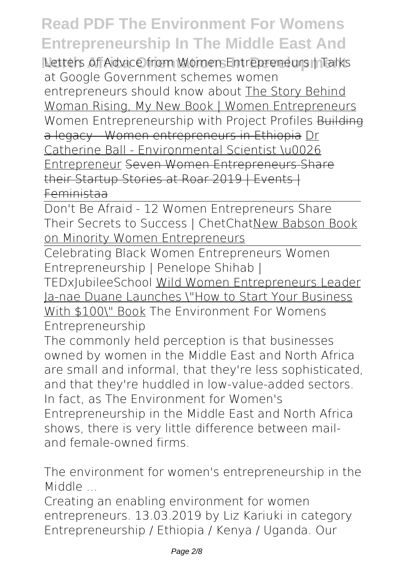## **Read PDF The Environment For Womens Entrepreneurship In The Middle East And**

**Letters of Advice from Women Entrepreneurs | Talks at Google** *Government schemes women entrepreneurs should know about* The Story Behind Woman Rising, My New Book | Women Entrepreneurs *Women Entrepreneurship with Project Profiles* Building a legacy - Women entrepreneurs in Ethiopia Dr Catherine Ball - Environmental Scientist \u0026 Entrepreneur Seven Women Entrepreneurs Share their Startup Stories at Roar 2019 | Events | Feministaa

Don't Be Afraid - 12 Women Entrepreneurs Share Their Secrets to Success | ChetChatNew Babson Book on Minority Women Entrepreneurs

Celebrating Black Women Entrepreneurs Women Entrepreneurship | Penelope Shihab |

TEDxJubileeSchool Wild Women Entrepreneurs Leader Ja-nae Duane Launches \"How to Start Your Business With \$100\" Book *The Environment For Womens*

*Entrepreneurship*

The commonly held perception is that businesses owned by women in the Middle East and North Africa are small and informal, that they're less sophisticated, and that they're huddled in low-value-added sectors. In fact, as The Environment for Women's Entrepreneurship in the Middle East and North Africa shows, there is very little difference between mailand female-owned firms.

*The environment for women's entrepreneurship in the Middle ...*

Creating an enabling environment for women entrepreneurs. 13.03.2019 by Liz Kariuki in category Entrepreneurship / Ethiopia / Kenya / Uganda. Our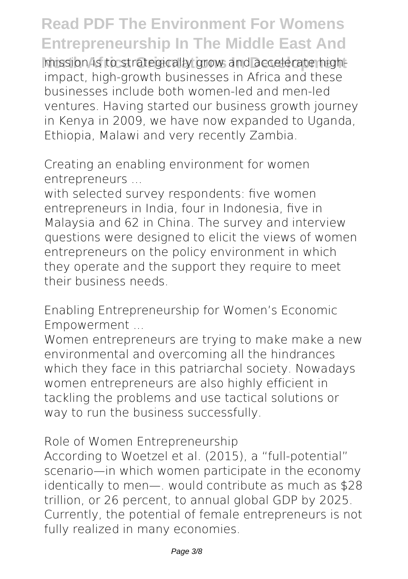## **Read PDF The Environment For Womens Entrepreneurship In The Middle East And**

mission is to strategically grow and accelerate highimpact, high-growth businesses in Africa and these businesses include both women-led and men-led ventures. Having started our business growth journey in Kenya in 2009, we have now expanded to Uganda, Ethiopia, Malawi and very recently Zambia.

*Creating an enabling environment for women entrepreneurs ...*

with selected survey respondents: five women entrepreneurs in India, four in Indonesia, five in Malaysia and 62 in China. The survey and interview questions were designed to elicit the views of women entrepreneurs on the policy environment in which they operate and the support they require to meet their business needs.

*Enabling Entrepreneurship for Women's Economic Empowerment ...*

Women entrepreneurs are trying to make make a new environmental and overcoming all the hindrances which they face in this patriarchal society. Nowadays women entrepreneurs are also highly efficient in tackling the problems and use tactical solutions or way to run the business successfully.

*Role of Women Entrepreneurship*

According to Woetzel et al. (2015), a "full-potential" scenario—in which women participate in the economy identically to men—. would contribute as much as \$28 trillion, or 26 percent, to annual global GDP by 2025. Currently, the potential of female entrepreneurs is not fully realized in many economies.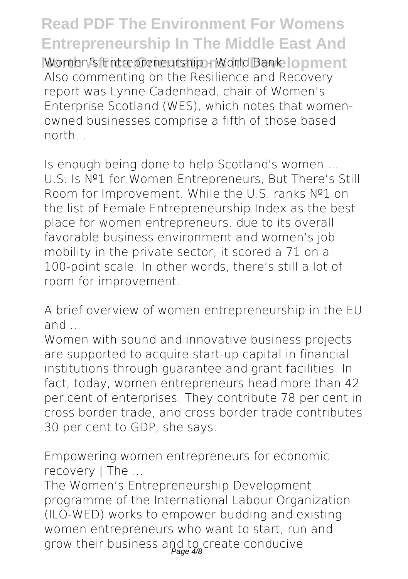**Read PDF The Environment For Womens Entrepreneurship In The Middle East And** *Women's Entrepreneurship - World Bank***lopment** Also commenting on the Resilience and Recovery report was Lynne Cadenhead, chair of Women's Enterprise Scotland (WES), which notes that womenowned businesses comprise a fifth of those based north...

*Is enough being done to help Scotland's women ...* U.S. Is №1 for Women Entrepreneurs, But There's Still Room for Improvement. While the U.S. ranks №1 on the list of Female Entrepreneurship Index as the best place for women entrepreneurs, due to its overall favorable business environment and women's job mobility in the private sector, it scored a 71 on a 100-point scale. In other words, there's still a lot of room for improvement.

*A brief overview of women entrepreneurship in the EU and ...*

Women with sound and innovative business projects are supported to acquire start-up capital in financial institutions through guarantee and grant facilities. In fact, today, women entrepreneurs head more than 42 per cent of enterprises. They contribute 78 per cent in cross border trade, and cross border trade contributes 30 per cent to GDP, she says.

*Empowering women entrepreneurs for economic recovery | The ...*

The Women's Entrepreneurship Development programme of the International Labour Organization (ILO-WED) works to empower budding and existing women entrepreneurs who want to start, run and grow their business and to create conducive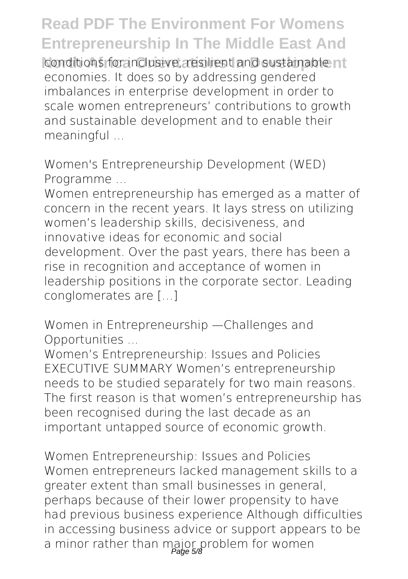## **Read PDF The Environment For Womens Entrepreneurship In The Middle East And**

conditions for inclusive, resilient and sustainable nt economies. It does so by addressing gendered imbalances in enterprise development in order to scale women entrepreneurs' contributions to growth and sustainable development and to enable their meaningful ...

*Women's Entrepreneurship Development (WED) Programme ...*

Women entrepreneurship has emerged as a matter of concern in the recent years. It lays stress on utilizing women's leadership skills, decisiveness, and innovative ideas for economic and social development. Over the past years, there has been a rise in recognition and acceptance of women in leadership positions in the corporate sector. Leading conglomerates are […]

*Women in Entrepreneurship —Challenges and Opportunities ...*

Women's Entrepreneurship: Issues and Policies EXECUTIVE SUMMARY Women's entrepreneurship needs to be studied separately for two main reasons. The first reason is that women's entrepreneurship has been recognised during the last decade as an important untapped source of economic growth.

*Women Entrepreneurship: Issues and Policies* Women entrepreneurs lacked management skills to a greater extent than small businesses in general, perhaps because of their lower propensity to have had previous business experience Although difficulties in accessing business advice or support appears to be a minor rather than major problem for women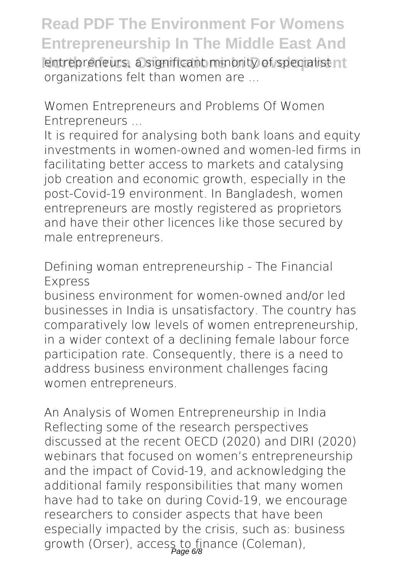**Read PDF The Environment For Womens Entrepreneurship In The Middle East And Intrepreneurs, a significant minority of specialist nt** organizations felt than women are ...

*Women Entrepreneurs and Problems Of Women Entrepreneurs ...*

It is required for analysing both bank loans and equity investments in women-owned and women-led firms in facilitating better access to markets and catalysing job creation and economic growth, especially in the post-Covid-19 environment. In Bangladesh, women entrepreneurs are mostly registered as proprietors and have their other licences like those secured by male entrepreneurs.

*Defining woman entrepreneurship - The Financial Express*

business environment for women-owned and/or led businesses in India is unsatisfactory. The country has comparatively low levels of women entrepreneurship, in a wider context of a declining female labour force participation rate. Consequently, there is a need to address business environment challenges facing women entrepreneurs.

*An Analysis of Women Entrepreneurship in India* Reflecting some of the research perspectives discussed at the recent OECD (2020) and DIRI (2020) webinars that focused on women's entrepreneurship and the impact of Covid-19, and acknowledging the additional family responsibilities that many women have had to take on during Covid-19, we encourage researchers to consider aspects that have been especially impacted by the crisis, such as: business growth (Orser), access to finance (Coleman),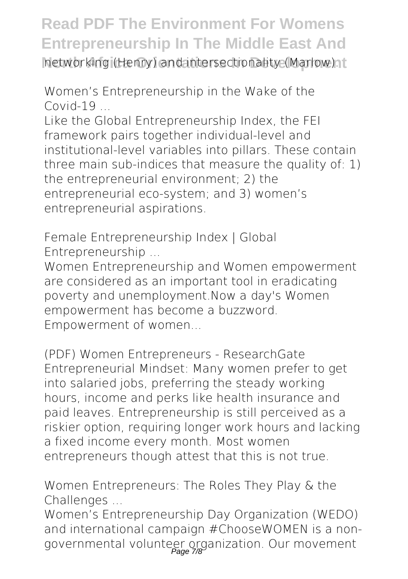**Read PDF The Environment For Womens Entrepreneurship In The Middle East And North Africa Africa Oriental Africa Orientalize (Marlow).** The intersectionality (Marlow).

*Women's Entrepreneurship in the Wake of the Covid-19 ...*

Like the Global Entrepreneurship Index, the FEI framework pairs together individual-level and institutional-level variables into pillars. These contain three main sub-indices that measure the quality of: 1) the entrepreneurial environment; 2) the entrepreneurial eco-system; and 3) women's entrepreneurial aspirations.

*Female Entrepreneurship Index | Global Entrepreneurship ...*

Women Entrepreneurship and Women empowerment are considered as an important tool in eradicating poverty and unemployment.Now a day's Women empowerment has become a buzzword. Empowerment of women...

*(PDF) Women Entrepreneurs - ResearchGate* Entrepreneurial Mindset: Many women prefer to get into salaried jobs, preferring the steady working hours, income and perks like health insurance and paid leaves. Entrepreneurship is still perceived as a riskier option, requiring longer work hours and lacking a fixed income every month. Most women entrepreneurs though attest that this is not true.

*Women Entrepreneurs: The Roles They Play & the Challenges ...*

Women's Entrepreneurship Day Organization (WEDO) and international campaign #ChooseWOMEN is a nongovernmental volunteer organization. Our movement